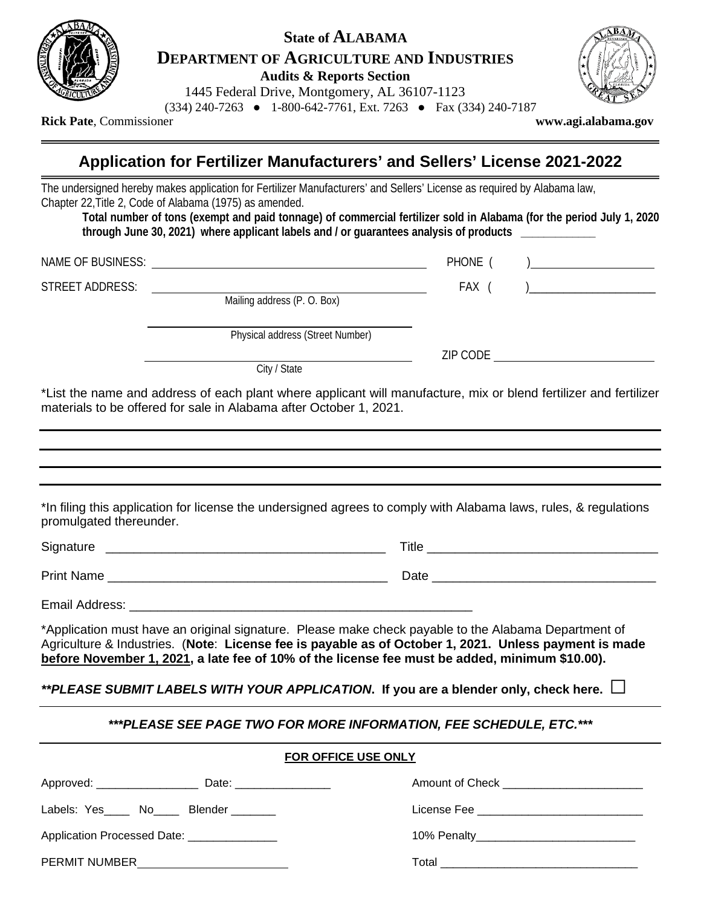

## **State of ALABAMA DEPARTMENT OF AGRICULTURE AND INDUSTRIES Audits & Reports Section**

1445 Federal Drive, Montgomery, AL 36107-1123

(334) 240-7263 ● 1-800-642-7761, Ext. 7263 ● Fax (334) 240-7187



**Rick Pate**, Commissioner **[www.agi.alabama.](http://www.agi.alabama/)gov**

**Application for Fertilizer Manufacturers' and Sellers' License 2021-2022**

The undersigned hereby makes application for Fertilizer Manufacturers' and Sellers' License as required by Alabama law, Chapter 22,Title 2, Code of Alabama (1975) as amended.

**Total number of tons (exempt and paid tonnage) of commercial fertilizer sold in Alabama (for the period July 1, 2020 through June 30, 2021) where applicant labels and / or guarantees analysis of products \_\_\_\_\_\_\_\_\_\_\_\_\_**

NAME OF BUSINESS: The state of the state of the state of the state of the state of the state of the state of the state of the state of the state of the state of the state of the state of the state of the state of the state

STREET ADDRESS: FAX ( )\_\_\_\_\_\_\_\_\_\_\_\_\_\_\_\_\_\_\_\_\_\_

Mailing address (P. O. Box)

Physical address (Street Number)

ZIP CODE

City / State

\*List the name and address of each plant where applicant will manufacture, mix or blend fertilizer and fertilizer materials to be offered for sale in Alabama after October 1, 2021.

| promulgated thereunder.                   | *In filing this application for license the undersigned agrees to comply with Alabama laws, rules, & regulations                                                                                                                                                                                                |  |
|-------------------------------------------|-----------------------------------------------------------------------------------------------------------------------------------------------------------------------------------------------------------------------------------------------------------------------------------------------------------------|--|
|                                           |                                                                                                                                                                                                                                                                                                                 |  |
|                                           |                                                                                                                                                                                                                                                                                                                 |  |
|                                           |                                                                                                                                                                                                                                                                                                                 |  |
|                                           | *Application must have an original signature. Please make check payable to the Alabama Department of<br>Agriculture & Industries. (Note: License fee is payable as of October 1, 2021. Unless payment is made<br>before November 1, 2021, a late fee of 10% of the license fee must be added, minimum \$10.00). |  |
|                                           | **PLEASE SUBMIT LABELS WITH YOUR APPLICATION. If you are a blender only, check here. $\Box$                                                                                                                                                                                                                     |  |
|                                           | ***PLEASE SEE PAGE TWO FOR MORE INFORMATION, FEE SCHEDULE, ETC. ***                                                                                                                                                                                                                                             |  |
| <b>FOR OFFICE USE ONLY</b>                |                                                                                                                                                                                                                                                                                                                 |  |
|                                           | Amount of Check _________________________                                                                                                                                                                                                                                                                       |  |
| Labels: Yes_____ No_____ Blender ________ |                                                                                                                                                                                                                                                                                                                 |  |

Application Processed Date: \_\_\_\_\_\_\_\_\_\_\_\_\_\_ 10% Penalty\_\_\_\_\_\_\_\_\_\_\_\_\_\_\_\_\_\_\_\_\_\_\_\_\_

PERMIT NUMBER Total \_\_\_\_\_\_\_\_\_\_\_\_\_\_\_\_\_\_\_\_\_\_\_\_\_\_\_\_\_\_\_